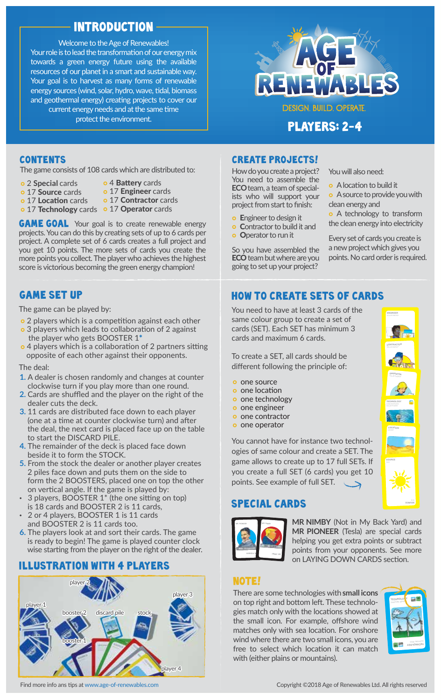# introduction

nt Page 5 Fro resources of our planet in a smart and sustainable way. Welcome to the Age of Renewables! Your role is to lead the transformation of our energy mix towards a green energy future using the available Your goal is to harvest as many forms of renewable energy sources (wind, solar, hydro, wave, tidal, biomass and geothermal energy) creating projects to cover our current energy needs and at the same time protect the environment.



PLAYERS: 2-4

The game consists of 108 cards which are distributed to:  $How$  do you create a project?

- 2 **Special** cards
- o 4 Battery cards
- o 17 Source cards
- o 17 Engineer cards o 17 Contractor cards
- o 17 Location cards 17 Technology cards • 17 Operator cards
- **AM**<br>bjeve breed **AM**<br>e g p p p m<br>d p p p p m **GAME GOAL** Your goal is to create renewable energy projects. You can do this by creating sets of up to 6 cards per project. A complete set of 6 cards creates a full project and you get 10 points. The more sets of cards you create the more points you collect. The player who achieves the highest score is victorious becoming the green energy champion!

# GAME SET UP

The game can be played by:

- o 2 players which is a competition against each other
- o 3 players which leads to collaboration of 2 against the player who gets BOOSTER 1\*
- o 4 players which is a collaboration of 2 partners sitting opposite of each other against their opponents.

### The deal:

- **1.** A dealer is chosen randomly and changes at counter clockwise turn if you play more than one round.
- **2.** Cards are shuffled and the player on the right of the dealer cuts the deck.
- op| e c A clca de 11 (or tht to Th be Frc 1 for an **3.** 11 cards are distributed face down to each player (one at a time at counter clockwise turn) and after the deal, the next card is placed face up on the table to start the DISCARD PILE.
- **4.** The remainder of the deck is placed face down beside it to form the STOCK.
- **5.** From the stock the dealer or another player creates 2 piles face down and puts them on the side to form the 2 BOOSTERS, placed one on top the other on vertical angle. If the game is played by:
- · 3 players, BOOSTER 1\* (the one sitting on top) is 18 cards and BOOSTER 2 is 11 cards,
- · 2 or 4 players, BOOSTER 1 is 11 cards and BOOSTER 2 is 11 cards too.
- **6.** The players look at and sort their cards. The game is ready to begin! The game is played counter clock wise starting from the player on the right of the dealer.

# ILLUSTRATION WITH 4 PLAYERS



contents contents and create projects!

nt Page 10 Front Page 10 Front Page 11 Front Page 11 Front Page 11 Front Page 11 Front Page 11 Front Page 11 Front Page 11 Front Page 11 Front Page 11 Front Page 11 Front Page 11 Front Page 11 Front Page 11 Front Page 11 F You need to assemble the **ECO** team, a team of specialists who will support your project from start to finish:

- **E**ngineer to design it
- **Contractor to build it and**
- **O** Operator to run it

So you have assembled the ECO team but where are you going to set up your project?

You will also need:

- A location to build it
- A source to provide you with clean energy and
- **•** A technology to transform the clean energy into electricity

Every set of cards you create is a new project which gives you points. No card order is required.

# HOW TO CREATE SETS OF CARDS

Ent Co<br>
Op you<br>
10 I ing<br>
10 I ing<br>
11 me<br>
11 me<br>
11 me<br>
11 me You need to have at least 3 cards of the same colour group to create a set of cards (SET). Each SET has minimum 3 cards and maximum 6 cards.

To create a SET, all cards should be different following the principle of:

- 
- **o** one location
- o one technology
- o one engineer
- o one contractor o one operator
- 

cre<br>fer on on on on on on u c<br>u cies me<br>u cint You cannot have for instance two technologies of same colour and create a SET. The game allows to create up to 17 full SETs. If you create a full SET (6 cards) you get 10 points. See example of full SET.  $\overline{\phantom{a}}$ 

# SPECIAL CARDS



**MR NIMBY** (Not in My Back Yard) and **MR PIONEER** (Tesla) are special cards helping you get extra points or subtract points from your opponents. See more on LAYING DOWN CARDS section.

# NOTE!

atc<br>ind<br>ith<br>ith There are some technologies with **small icons** on top right and bottom left. These technologies match only with the locations showed at the small icon. For example, offshore wind matches only with sea location. For onshore wind where there are two small icons, you are free to select which location it can match with (either plains or mountains).



**ENGINEER ENGINEER** SOLAR ENERGY AND **CONTRACTOR CONTRACTOR** SOLAR ENERGY Age of Renewable Of Renewable 17:26 **OPERATOR OPERATOR** SOLAR ENERGY **AGE OF RENEWABLES VON DE TECHNOLOGY TECHNOLOGY** CONCENTRATED SOLAR POWER **LOCATION** AGE OF RENEWABLES V05.indd 39 27/08/2018 17:24 **SOURCE SOURCE**